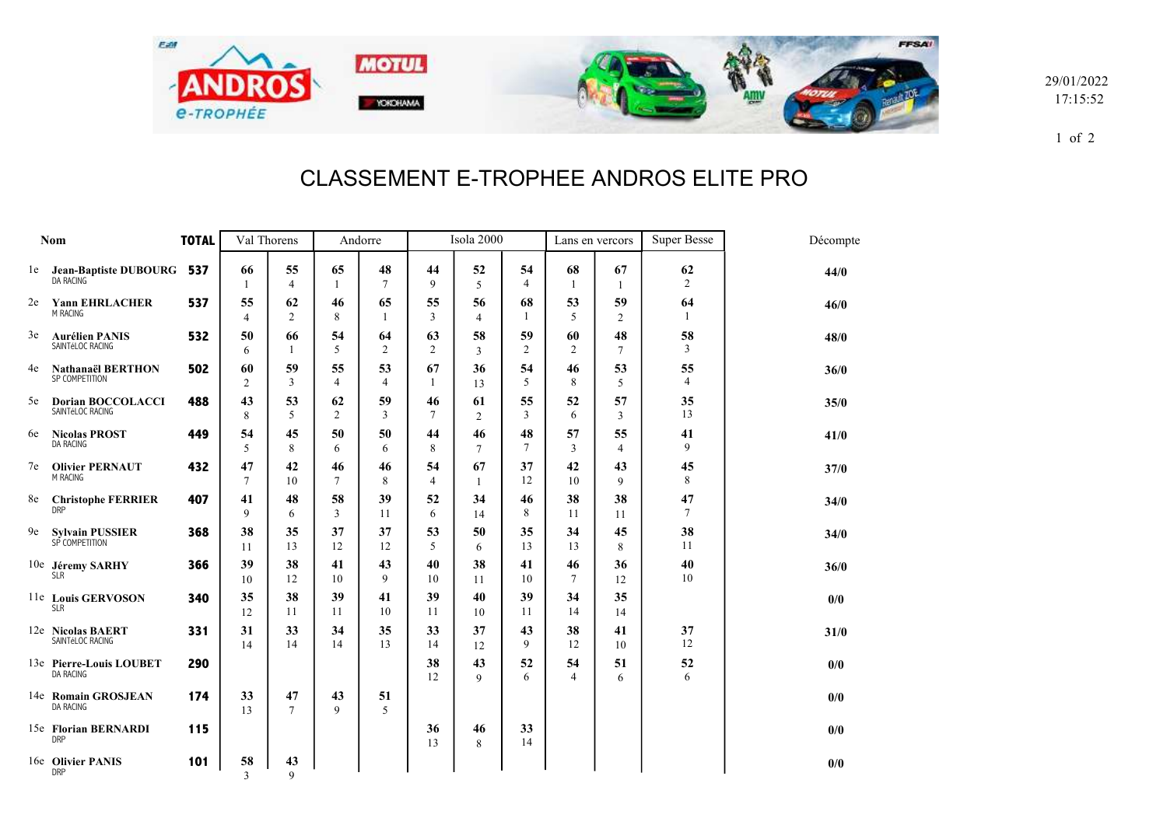

29/01/2022 17:15:52

1 of 2

## CLASSEMENT E-TROPHEE ANDROS ELITE PRO

| Nom |                                              | <b>TOTAL</b> | Val Thorens          |                      | Andorre              |              | Isola 2000           |                      |                      | Lans en vercors    |                      | <b>Super Besse</b>   | Décompte |
|-----|----------------------------------------------|--------------|----------------------|----------------------|----------------------|--------------|----------------------|----------------------|----------------------|--------------------|----------------------|----------------------|----------|
|     | le Jean-Baptiste DUBOURG<br><b>DA RACING</b> | 537          | 66<br>1              | 55<br>$\overline{4}$ | 65<br>$\overline{1}$ | 48<br>$\tau$ | 44<br>9              | 52<br>5              | 54<br>$\overline{4}$ | 68<br>$\mathbf{1}$ | 67<br>-1             | 62<br>2              | 44/0     |
| 2e  | <b>Yann EHRLACHER</b><br><b>M RACING</b>     | 537          | 55<br>4              | 62<br>$\overline{c}$ | 46<br>8              | 65<br>1      | 55<br>3              | 56<br>$\overline{4}$ | 68<br>$\mathbf{1}$   | 53<br>5            | 59<br>$\overline{c}$ | 64<br>$\mathbf{1}$   | 46/0     |
| 3e  | <b>Aurélien PANIS</b><br>SAINTéLOC RACING    | 532          | 50<br>6              | 66<br>1              | 54<br>5              | 64<br>2      | 63<br>2              | 58<br>3              | 59<br>$\overline{2}$ | 60<br>2            | 48<br>$\tau$         | 58<br>$\overline{3}$ | 48/0     |
| 4e  | <b>Nathanaël BERTHON</b><br>SP COMPETITION   | 502          | 60<br>2              | 59<br>3              | 55<br>$\overline{4}$ | 53<br>4      | 67<br>$\mathbf{1}$   | 36<br>13             | 54<br>5              | 46<br>8            | 53<br>5              | 55<br>4              | 36/0     |
| 5e  | <b>Dorian BOCCOLACCI</b><br>SAINTéLOC RACING | 488          | 43<br>8              | 53<br>5              | 62<br>$\overline{2}$ | 59<br>3      | 46<br>$\tau$         | 61<br>$\overline{c}$ | 55<br>$\overline{3}$ | 52<br>6            | 57<br>3              | 35<br>13             | 35/0     |
| 6e  | <b>Nicolas PROST</b><br><b>DA RACING</b>     | 449          | 54<br>5              | 45<br>8              | 50<br>6              | 50<br>6      | 44<br>8              | 46<br>$\tau$         | 48<br>7              | 57<br>3            | 55<br>$\overline{4}$ | 41<br>9              | 41/0     |
| 7e  | <b>Olivier PERNAUT</b><br>M RACING           | 432          | 47<br>$\overline{7}$ | 42<br>10             | 46<br>$\overline{7}$ | 46<br>8      | 54<br>$\overline{4}$ | 67<br>1              | 37<br>12             | 42<br>10           | 43<br>9              | 45<br>8              | 37/0     |
| 8e  | <b>Christophe FERRIER</b><br><b>DRP</b>      | 407          | 41<br>9              | 48<br>6              | 58<br>3              | 39<br>11     | 52<br>6              | 34<br>14             | 46<br>8              | 38<br>11           | 38<br>11             | 47<br>$\overline{7}$ | 34/0     |
| 9e  | <b>Sylvain PUSSIER</b><br>SP COMPETITION     | 368          | 38<br>11             | 35<br>13             | 37<br>12             | 37<br>12     | 53<br>5              | 50<br>6              | 35<br>13             | 34<br>13           | 45<br>8              | 38<br>11             | 34/0     |
|     | 10e Jéremy SARHY<br><b>SLR</b>               | 366          | 39<br>10             | 38<br>12             | 41<br>10             | 43<br>9      | 40<br>10             | 38<br>11             | 41<br>10             | 46<br>7            | 36<br>12             | 40<br>10             | 36/0     |
|     | 11e Louis GERVOSON<br><b>SLR</b>             | 340          | 35<br>12             | 38<br>11             | 39<br>11             | 41<br>10     | 39<br>11             | 40<br>10             | 39<br>11             | 34<br>14           | 35<br>14             |                      | 0/0      |
|     | 12e Nicolas BAERT<br>SAINTéLOC RACING        | 331          | 31<br>14             | 33<br>14             | 34<br>14             | 35<br>13     | 33<br>14             | 37<br>12             | 43<br>9              | 38<br>12           | 41<br>10             | 37<br>12             | 31/0     |
|     | 13e Pierre-Louis LOUBET<br><b>DA RACING</b>  | 290          |                      |                      |                      |              | 38<br>12             | 43<br>9              | 52<br>6              | 54<br>4            | 51<br>6              | 52<br>6              | 0/0      |
|     | 14e Romain GROSJEAN<br><b>DA RACING</b>      | 174          | 33<br>13             | 47<br>$\overline{7}$ | 43<br>9              | 51<br>5      |                      |                      |                      |                    |                      |                      | 0/0      |
|     | 15e Florian BERNARDI<br><b>DRP</b>           | 115          |                      |                      |                      |              | 36<br>13             | 46<br>8              | 33<br>14             |                    |                      |                      | 0/0      |
|     | 16e Olivier PANIS<br><b>DRP</b>              | 101          | 58<br>3              | 43<br>$\mathbf Q$    |                      |              |                      |                      |                      |                    |                      |                      | 0/0      |